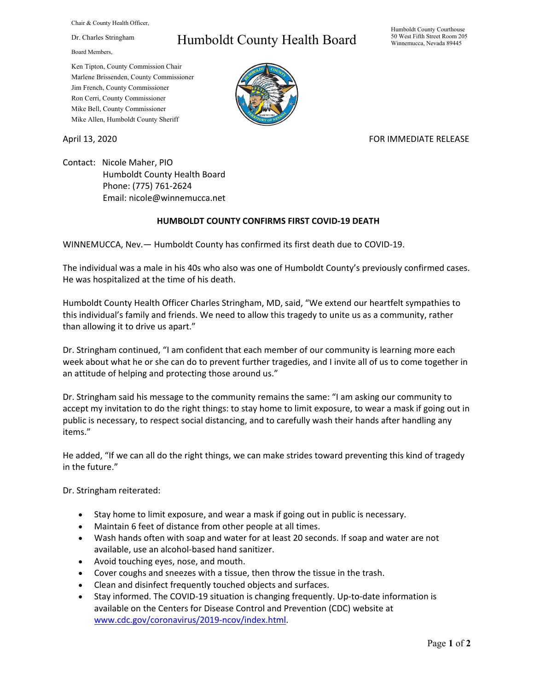Chair & County Health Officer,

Dr. Charles Stringham

Board Members,

## Humboldt County Health Board

Humboldt County Courthouse 50 West Fifth Street Room 205 Winnemucca, Nevada 89445

Ken Tipton, County Commission Chair Marlene Brissenden, County Commissioner Jim French, County Commissioner Ron Cerri, County Commissioner Mike Bell, County Commissioner Mike Allen, Humboldt County Sheriff

## April 13, 2020 **FOR IMMEDIATE RELEASE**

Contact: Nicole Maher, PIO Humboldt County Health Board Phone: (775) 761-2624 Email: nicole@winnemucca.net

## **HUMBOLDT COUNTY CONFIRMS FIRST COVID-19 DEATH**

WINNEMUCCA, Nev.— Humboldt County has confirmed its first death due to COVID-19.

The individual was a male in his 40s who also was one of Humboldt County's previously confirmed cases. He was hospitalized at the time of his death.

Humboldt County Health Officer Charles Stringham, MD, said, "We extend our heartfelt sympathies to this individual's family and friends. We need to allow this tragedy to unite us as a community, rather than allowing it to drive us apart."

Dr. Stringham continued, "I am confident that each member of our community is learning more each week about what he or she can do to prevent further tragedies, and I invite all of us to come together in an attitude of helping and protecting those around us."

Dr. Stringham said his message to the community remains the same: "I am asking our community to accept my invitation to do the right things: to stay home to limit exposure, to wear a mask if going out in public is necessary, to respect social distancing, and to carefully wash their hands after handling any items."

He added, "If we can all do the right things, we can make strides toward preventing this kind of tragedy in the future."

Dr. Stringham reiterated:

- Stay home to limit exposure, and wear a mask if going out in public is necessary.
- Maintain 6 feet of distance from other people at all times.
- Wash hands often with soap and water for at least 20 seconds. If soap and water are not available, use an alcohol-based hand sanitizer.
- Avoid touching eyes, nose, and mouth.
- Cover coughs and sneezes with a tissue, then throw the tissue in the trash.
- Clean and disinfect frequently touched objects and surfaces.
- Stay informed. The COVID-19 situation is changing frequently. Up-to-date information is available on the Centers for Disease Control and Prevention (CDC) website at [www.cdc.gov/coronavirus/2019-ncov/index.html.](http://www.cdc.gov/coronavirus/2019-ncov/index.html)